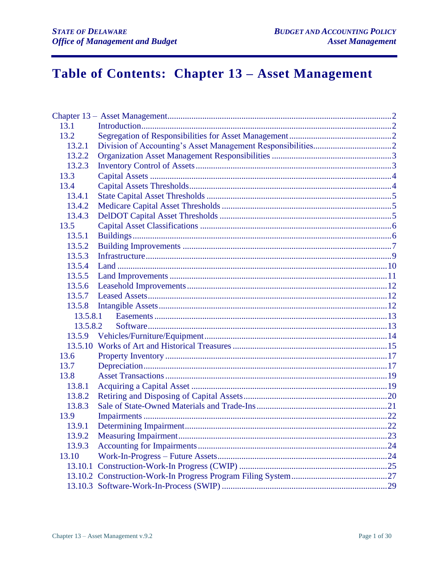# Table of Contents: Chapter 13 - Asset Management

| 13.1     |  |
|----------|--|
| 13.2     |  |
| 13.2.1   |  |
| 13.2.2   |  |
| 13.2.3   |  |
| 13.3     |  |
| 13.4     |  |
| 13.4.1   |  |
| 13.4.2   |  |
| 13.4.3   |  |
| 13.5     |  |
| 13.5.1   |  |
| 13.5.2   |  |
| 13.5.3   |  |
| 13.5.4   |  |
| 13.5.5   |  |
| 13.5.6   |  |
| 13.5.7   |  |
| 13.5.8   |  |
| 13.5.8.1 |  |
| 13.5.8.2 |  |
|          |  |
|          |  |
| 13.6     |  |
| 13.7     |  |
| 13.8     |  |
| 13.8.1   |  |
| 13.8.2   |  |
| 13.8.3   |  |
| 13.9     |  |
| 13.9.1   |  |
| 13.9.2   |  |
| 13.9.3   |  |
| 13.10    |  |
| 13.10.1  |  |
|          |  |
|          |  |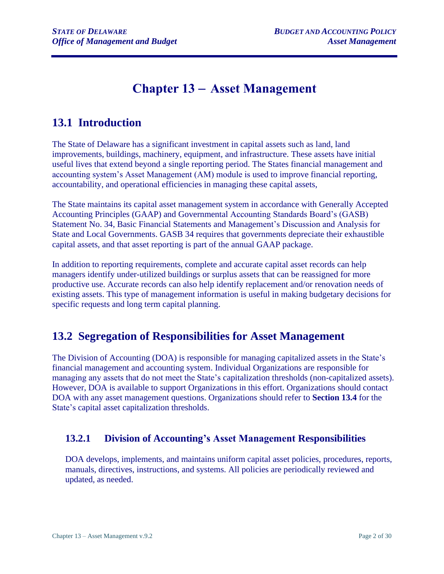## **Chapter 13** – **Asset Management**

## <span id="page-1-1"></span><span id="page-1-0"></span>**13.1 Introduction**

The State of Delaware has a significant investment in capital assets such as land, land improvements, buildings, machinery, equipment, and infrastructure. These assets have initial useful lives that extend beyond a single reporting period. The States financial management and accounting system's Asset Management (AM) module is used to improve financial reporting, accountability, and operational efficiencies in managing these capital assets,

The State maintains its capital asset management system in accordance with Generally Accepted Accounting Principles (GAAP) and Governmental Accounting Standards Board's (GASB) Statement No. 34, Basic Financial Statements and Management's Discussion and Analysis for State and Local Governments. GASB 34 requires that governments depreciate their exhaustible capital assets, and that asset reporting is part of the annual GAAP package.

In addition to reporting requirements, complete and accurate capital asset records can help managers identify under-utilized buildings or surplus assets that can be reassigned for more productive use. Accurate records can also help identify replacement and/or renovation needs of existing assets. This type of management information is useful in making budgetary decisions for specific requests and long term capital planning.

## <span id="page-1-2"></span>**13.2 Segregation of Responsibilities for Asset Management**

The Division of Accounting (DOA) is responsible for managing capitalized assets in the State's financial management and accounting system. Individual Organizations are responsible for managing any assets that do not meet the State's capitalization thresholds (non-capitalized assets). However, DOA is available to support Organizations in this effort. Organizations should contact DOA with any asset management questions. Organizations should refer to **Section 13.4** for the State's capital asset capitalization thresholds.

## <span id="page-1-3"></span>**13.2.1 Division of Accounting's Asset Management Responsibilities**

DOA develops, implements, and maintains uniform capital asset policies, procedures, reports, manuals, directives, instructions, and systems. All policies are periodically reviewed and updated, as needed.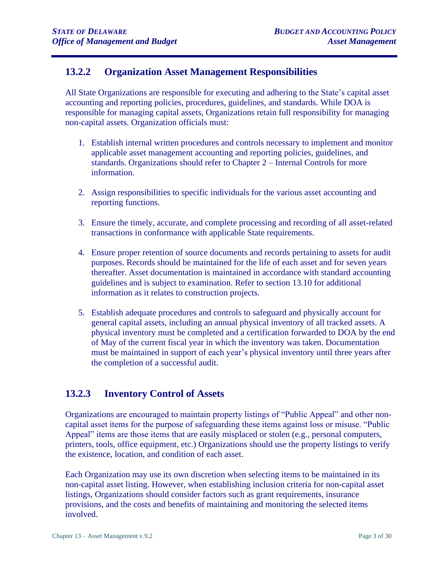### <span id="page-2-0"></span>**13.2.2 Organization Asset Management Responsibilities**

All State Organizations are responsible for executing and adhering to the State's capital asset accounting and reporting policies, procedures, guidelines, and standards. While DOA is responsible for managing capital assets, Organizations retain full responsibility for managing non-capital assets. Organization officials must:

- 1. Establish internal written procedures and controls necessary to implement and monitor applicable asset management accounting and reporting policies, guidelines, and standards. Organizations should refer to Chapter 2 – Internal Controls for more information.
- 2. Assign responsibilities to specific individuals for the various asset accounting and reporting functions.
- 3. Ensure the timely, accurate, and complete processing and recording of all asset-related transactions in conformance with applicable State requirements.
- 4. Ensure proper retention of source documents and records pertaining to assets for audit purposes. Records should be maintained for the life of each asset and for seven years thereafter. Asset documentation is maintained in accordance with standard accounting guidelines and is subject to examination. Refer to section 13.10 for additional information as it relates to construction projects.
- 5. Establish adequate procedures and controls to safeguard and physically account for general capital assets, including an annual physical inventory of all tracked assets. A physical inventory must be completed and a certification forwarded to DOA by the end of May of the current fiscal year in which the inventory was taken. Documentation must be maintained in support of each year's physical inventory until three years after the completion of a successful audit.

#### <span id="page-2-1"></span>**13.2.3 Inventory Control of Assets**

Organizations are encouraged to maintain property listings of "Public Appeal" and other noncapital asset items for the purpose of safeguarding these items against loss or misuse. "Public Appeal" items are those items that are easily misplaced or stolen (e.g., personal computers, printers, tools, office equipment, etc.) Organizations should use the property listings to verify the existence, location, and condition of each asset.

Each Organization may use its own discretion when selecting items to be maintained in its non-capital asset listing. However, when establishing inclusion criteria for non-capital asset listings, Organizations should consider factors such as grant requirements, insurance provisions, and the costs and benefits of maintaining and monitoring the selected items involved.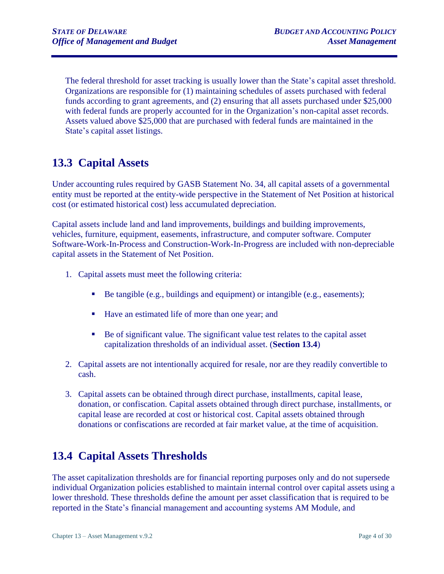The federal threshold for asset tracking is usually lower than the State's capital asset threshold. Organizations are responsible for (1) maintaining schedules of assets purchased with federal funds according to grant agreements, and (2) ensuring that all assets purchased under \$25,000 with federal funds are properly accounted for in the Organization's non-capital asset records. Assets valued above \$25,000 that are purchased with federal funds are maintained in the State's capital asset listings.

## <span id="page-3-0"></span>**13.3 Capital Assets**

Under accounting rules required by GASB Statement No. 34, all capital assets of a governmental entity must be reported at the entity-wide perspective in the Statement of Net Position at historical cost (or estimated historical cost) less accumulated depreciation.

Capital assets include land and land improvements, buildings and building improvements, vehicles, furniture, equipment, easements, infrastructure, and computer software. Computer Software-Work-In-Process and Construction-Work-In-Progress are included with non-depreciable capital assets in the Statement of Net Position.

- 1. Capital assets must meet the following criteria:
	- Be tangible (e.g., buildings and equipment) or intangible (e.g., easements);
	- Have an estimated life of more than one year; and
	- Be of significant value. The significant value test relates to the capital asset capitalization thresholds of an individual asset. (**Section 13.4**)
- 2. Capital assets are not intentionally acquired for resale, nor are they readily convertible to cash.
- 3. Capital assets can be obtained through direct purchase, installments, capital lease, donation, or confiscation. Capital assets obtained through direct purchase, installments, or capital lease are recorded at cost or historical cost. Capital assets obtained through donations or confiscations are recorded at fair market value, at the time of acquisition.

## <span id="page-3-1"></span>**13.4 Capital Assets Thresholds**

The asset capitalization thresholds are for financial reporting purposes only and do not supersede individual Organization policies established to maintain internal control over capital assets using a lower threshold. These thresholds define the amount per asset classification that is required to be reported in the State's financial management and accounting systems AM Module, and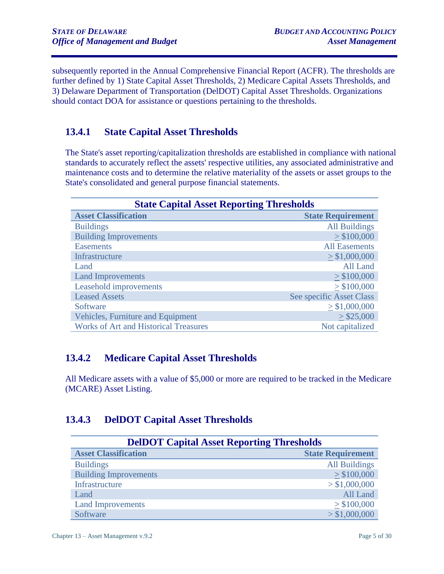subsequently reported in the Annual Comprehensive Financial Report (ACFR). The thresholds are further defined by 1) State Capital Asset Thresholds, 2) Medicare Capital Assets Thresholds, and 3) Delaware Department of Transportation (DelDOT) Capital Asset Thresholds. Organizations should contact DOA for assistance or questions pertaining to the thresholds.

## <span id="page-4-0"></span>**13.4.1 State Capital Asset Thresholds**

The State's asset reporting/capitalization thresholds are established in compliance with national standards to accurately reflect the assets' respective utilities, any associated administrative and maintenance costs and to determine the relative materiality of the assets or asset groups to the State's consolidated and general purpose financial statements.

| <b>State Capital Asset Reporting Thresholds</b> |                          |  |
|-------------------------------------------------|--------------------------|--|
| <b>Asset Classification</b>                     | <b>State Requirement</b> |  |
| <b>Buildings</b>                                | <b>All Buildings</b>     |  |
| <b>Building Improvements</b>                    | > \$100,000              |  |
| <b>Easements</b>                                | <b>All Easements</b>     |  |
| Infrastructure                                  | > \$1,000,000            |  |
| Land                                            | All Land                 |  |
| <b>Land Improvements</b>                        | > \$100,000              |  |
| Leasehold improvements                          | > \$100,000              |  |
| <b>Leased Assets</b>                            | See specific Asset Class |  |
| Software                                        | > \$1,000,000            |  |
| Vehicles, Furniture and Equipment               | $>$ \$25,000             |  |
| <b>Works of Art and Historical Treasures</b>    | Not capitalized          |  |

### <span id="page-4-1"></span>**13.4.2 Medicare Capital Asset Thresholds**

All Medicare assets with a value of \$5,000 or more are required to be tracked in the Medicare (MCARE) Asset Listing.

## <span id="page-4-2"></span>**13.4.3 DelDOT Capital Asset Thresholds**

| <b>DelDOT Capital Asset Reporting Thresholds</b> |                          |  |
|--------------------------------------------------|--------------------------|--|
| <b>Asset Classification</b>                      | <b>State Requirement</b> |  |
| <b>Buildings</b>                                 | <b>All Buildings</b>     |  |
| <b>Building Improvements</b>                     | > \$100,000              |  |
| Infrastructure                                   | > \$1,000,000            |  |
| Land                                             | All Land                 |  |
| <b>Land Improvements</b>                         | > \$100,000              |  |
| Software                                         | > \$1,000,000            |  |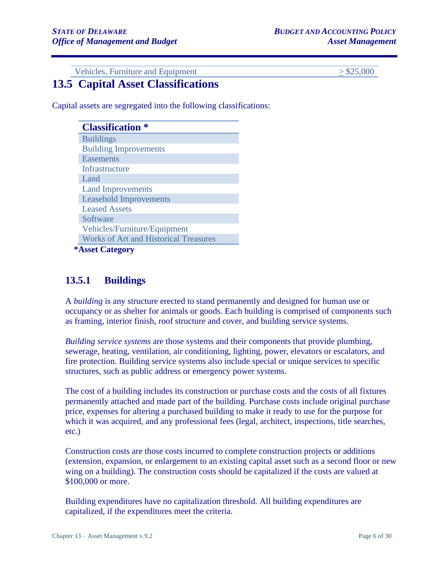Vehicles, Furniture and Equipment  $\geq$  \$25,000

## <span id="page-5-0"></span>**13.5 Capital Asset Classifications**

Capital assets are segregated into the following classifications:

| <b>Classification</b> *                      |
|----------------------------------------------|
| <b>Buildings</b>                             |
| <b>Building Improvements</b>                 |
| <b>Easements</b>                             |
| Infrastructure                               |
| Land                                         |
| <b>Land Improvements</b>                     |
| <b>Leasehold Improvements</b>                |
| <b>Leased Assets</b>                         |
| Software                                     |
| Vehicles/Furniture/Equipment                 |
| <b>Works of Art and Historical Treasures</b> |
| <b>*Asset Category</b>                       |

### <span id="page-5-1"></span>**13.5.1 Buildings**

A *building* is any structure erected to stand permanently and designed for human use or occupancy or as shelter for animals or goods. Each building is comprised of components such as framing, interior finish, roof structure and cover, and building service systems.

*Building service systems* are those systems and their components that provide plumbing, sewerage, heating, ventilation, air conditioning, lighting, power, elevators or escalators, and fire protection. Building service systems also include special or unique services to specific structures, such as public address or emergency power systems.

The cost of a building includes its construction or purchase costs and the costs of all fixtures permanently attached and made part of the building. Purchase costs include original purchase price, expenses for altering a purchased building to make it ready to use for the purpose for which it was acquired, and any professional fees (legal, architect, inspections, title searches, etc.)

Construction costs are those costs incurred to complete construction projects or additions (extension, expansion, or enlargement to an existing capital asset such as a second floor or new wing on a building). The construction costs should be capitalized if the costs are valued at \$100,000 or more.

Building expenditures have no capitalization threshold. All building expenditures are capitalized, if the expenditures meet the criteria.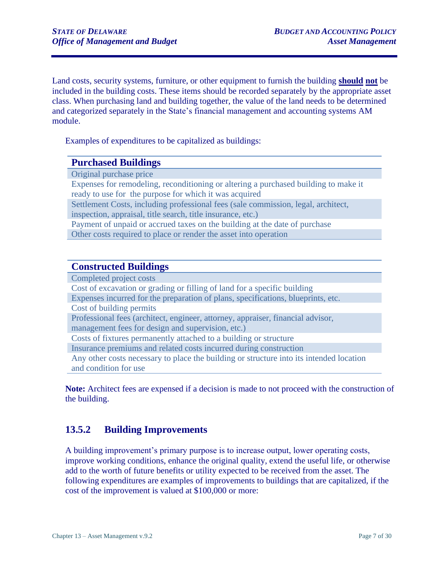Land costs, security systems, furniture, or other equipment to furnish the building **should not** be included in the building costs. These items should be recorded separately by the appropriate asset class. When purchasing land and building together, the value of the land needs to be determined and categorized separately in the State's financial management and accounting systems AM module.

Examples of expenditures to be capitalized as buildings:

#### **Purchased Buildings**

Original purchase price

Expenses for remodeling, reconditioning or altering a purchased building to make it ready to use for the purpose for which it was acquired

Settlement Costs, including professional fees (sale commission, legal, architect, inspection, appraisal, title search, title insurance, etc.)

Payment of unpaid or accrued taxes on the building at the date of purchase Other costs required to place or render the asset into operation

#### **Constructed Buildings**

Completed project costs Cost of excavation or grading or filling of land for a specific building Expenses incurred for the preparation of plans, specifications, blueprints, etc. Cost of building permits Professional fees (architect, engineer, attorney, appraiser, financial advisor, management fees for design and supervision, etc.) Costs of fixtures permanently attached to a building or structure Insurance premiums and related costs incurred during construction Any other costs necessary to place the building or structure into its intended location and condition for use

**Note:** Architect fees are expensed if a decision is made to not proceed with the construction of the building.

### <span id="page-6-0"></span>**13.5.2 Building Improvements**

A building improvement's primary purpose is to increase output, lower operating costs, improve working conditions, enhance the original quality, extend the useful life, or otherwise add to the worth of future benefits or utility expected to be received from the asset. The following expenditures are examples of improvements to buildings that are capitalized, if the cost of the improvement is valued at \$100,000 or more: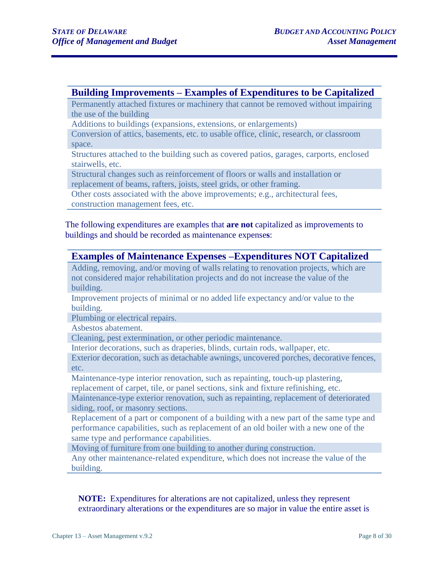#### **Building Improvements – Examples of Expenditures to be Capitalized**

Permanently attached fixtures or machinery that cannot be removed without impairing the use of the building

Additions to buildings (expansions, extensions, or enlargements)

Conversion of attics, basements, etc. to usable office, clinic, research, or classroom space.

Structures attached to the building such as covered patios, garages, carports, enclosed stairwells, etc.

Structural changes such as reinforcement of floors or walls and installation or replacement of beams, rafters, joists, steel grids, or other framing.

Other costs associated with the above improvements; e.g., architectural fees,

construction management fees, etc.

The following expenditures are examples that **are not** capitalized as improvements to buildings and should be recorded as maintenance expense**s**:

#### **Examples of Maintenance Expenses –Expenditures NOT Capitalized**

Adding, removing, and/or moving of walls relating to renovation projects, which are not considered major rehabilitation projects and do not increase the value of the building.

Improvement projects of minimal or no added life expectancy and/or value to the building.

Plumbing or electrical repairs.

Asbestos abatement.

Cleaning, pest extermination, or other periodic maintenance.

Interior decorations, such as draperies, blinds, curtain rods, wallpaper, etc.

Exterior decoration, such as detachable awnings, uncovered porches, decorative fences, etc.

Maintenance-type interior renovation, such as repainting, touch-up plastering, replacement of carpet, tile, or panel sections, sink and fixture refinishing, etc.

Maintenance-type exterior renovation, such as repainting, replacement of deteriorated

siding, roof, or masonry sections.

Replacement of a part or component of a building with a new part of the same type and performance capabilities, such as replacement of an old boiler with a new one of the same type and performance capabilities.

Moving of furniture from one building to another during construction.

Any other maintenance-related expenditure, which does not increase the value of the building.

**NOTE:**Expenditures for alterations are not capitalized, unless they represent extraordinary alterations or the expenditures are so major in value the entire asset is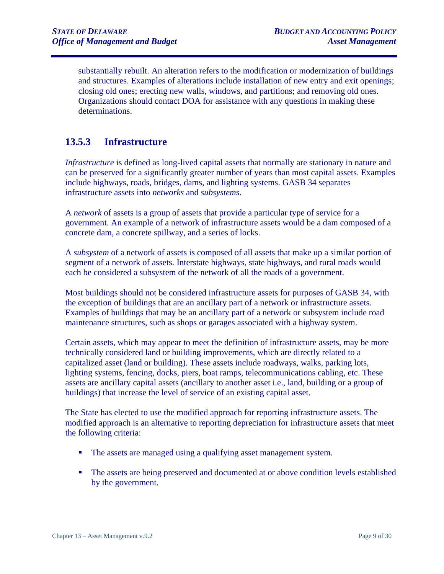substantially rebuilt. An alteration refers to the modification or modernization of buildings and structures. Examples of alterations include installation of new entry and exit openings; closing old ones; erecting new walls, windows, and partitions; and removing old ones. Organizations should contact DOA for assistance with any questions in making these determinations.

#### <span id="page-8-0"></span>**13.5.3 Infrastructure**

*Infrastructure* is defined as long-lived capital assets that normally are stationary in nature and can be preserved for a significantly greater number of years than most capital assets. Examples include highways, roads, bridges, dams, and lighting systems. GASB 34 separates infrastructure assets into *networks* and *subsystems*.

A *network* of assets is a group of assets that provide a particular type of service for a government. An example of a network of infrastructure assets would be a dam composed of a concrete dam, a concrete spillway, and a series of locks.

A *subsystem* of a network of assets is composed of all assets that make up a similar portion of segment of a network of assets. Interstate highways, state highways, and rural roads would each be considered a subsystem of the network of all the roads of a government.

Most buildings should not be considered infrastructure assets for purposes of GASB 34, with the exception of buildings that are an ancillary part of a network or infrastructure assets. Examples of buildings that may be an ancillary part of a network or subsystem include road maintenance structures, such as shops or garages associated with a highway system.

Certain assets, which may appear to meet the definition of infrastructure assets, may be more technically considered land or building improvements, which are directly related to a capitalized asset (land or building). These assets include roadways, walks, parking lots, lighting systems, fencing, docks, piers, boat ramps, telecommunications cabling, etc. These assets are ancillary capital assets (ancillary to another asset i.e., land, building or a group of buildings) that increase the level of service of an existing capital asset.

The State has elected to use the modified approach for reporting infrastructure assets. The modified approach is an alternative to reporting depreciation for infrastructure assets that meet the following criteria:

- The assets are managed using a qualifying asset management system.
- The assets are being preserved and documented at or above condition levels established by the government.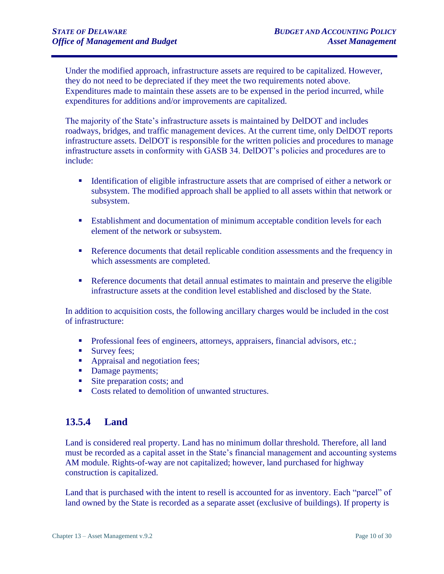Under the modified approach, infrastructure assets are required to be capitalized. However, they do not need to be depreciated if they meet the two requirements noted above. Expenditures made to maintain these assets are to be expensed in the period incurred, while expenditures for additions and/or improvements are capitalized.

The majority of the State's infrastructure assets is maintained by DelDOT and includes roadways, bridges, and traffic management devices. At the current time, only DelDOT reports infrastructure assets. DelDOT is responsible for the written policies and procedures to manage infrastructure assets in conformity with GASB 34. DelDOT's policies and procedures are to include:

- **EXECUTE:** Identification of eligible infrastructure assets that are comprised of either a network or subsystem. The modified approach shall be applied to all assets within that network or subsystem.
- Establishment and documentation of minimum acceptable condition levels for each element of the network or subsystem.
- Reference documents that detail replicable condition assessments and the frequency in which assessments are completed.
- Reference documents that detail annual estimates to maintain and preserve the eligible infrastructure assets at the condition level established and disclosed by the State.

In addition to acquisition costs, the following ancillary charges would be included in the cost of infrastructure:

- **•** Professional fees of engineers, attorneys, appraisers, financial advisors, etc.;
- Survey fees;
- Appraisal and negotiation fees;
- Damage payments;
- Site preparation costs; and
- Costs related to demolition of unwanted structures.

#### <span id="page-9-0"></span>**13.5.4 Land**

Land is considered real property. Land has no minimum dollar threshold. Therefore, all land must be recorded as a capital asset in the State's financial management and accounting systems AM module. Rights-of-way are not capitalized; however, land purchased for highway construction is capitalized.

Land that is purchased with the intent to resell is accounted for as inventory. Each "parcel" of land owned by the State is recorded as a separate asset (exclusive of buildings). If property is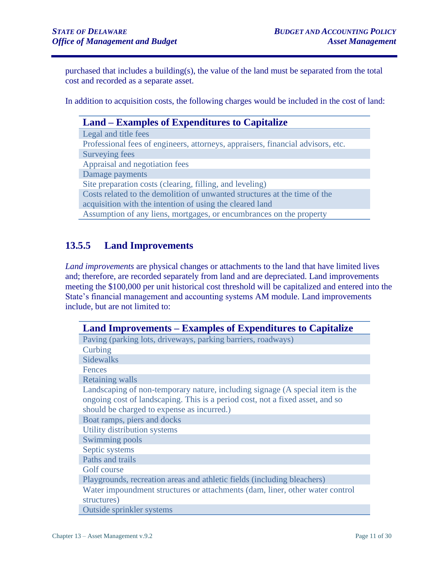purchased that includes a building(s), the value of the land must be separated from the total cost and recorded as a separate asset.

In addition to acquisition costs, the following charges would be included in the cost of land:

| Land – Examples of Expenditures to Capitalize                                   |  |
|---------------------------------------------------------------------------------|--|
| Legal and title fees                                                            |  |
| Professional fees of engineers, attorneys, appraisers, financial advisors, etc. |  |
| Surveying fees                                                                  |  |
| Appraisal and negotiation fees                                                  |  |
| Damage payments                                                                 |  |
| Site preparation costs (clearing, filling, and leveling)                        |  |
| Costs related to the demolition of unwanted structures at the time of the       |  |
| acquisition with the intention of using the cleared land                        |  |
| Assumption of any liens, mortgages, or encumbrances on the property             |  |
|                                                                                 |  |

## <span id="page-10-0"></span>**13.5.5 Land Improvements**

*Land improvements* are physical changes or attachments to the land that have limited lives and; therefore, are recorded separately from land and are depreciated. Land improvements meeting the \$100,000 per unit historical cost threshold will be capitalized and entered into the State's financial management and accounting systems AM module. Land improvements include, but are not limited to:

| <b>Land Improvements – Examples of Expenditures to Capitalize</b>             |
|-------------------------------------------------------------------------------|
| Paving (parking lots, driveways, parking barriers, roadways)                  |
| Curbing                                                                       |
| <b>Sidewalks</b>                                                              |
| <b>Fences</b>                                                                 |
| <b>Retaining walls</b>                                                        |
| Landscaping of non-temporary nature, including signage (A special item is the |
| ongoing cost of landscaping. This is a period cost, not a fixed asset, and so |
| should be charged to expense as incurred.)                                    |
| Boat ramps, piers and docks                                                   |
| Utility distribution systems                                                  |
| Swimming pools                                                                |
| Septic systems                                                                |
| Paths and trails                                                              |
| Golf course                                                                   |
| Playgrounds, recreation areas and athletic fields (including bleachers)       |
| Water impoundment structures or attachments (dam, liner, other water control  |
| structures)                                                                   |
| <b>Outside sprinkler systems</b>                                              |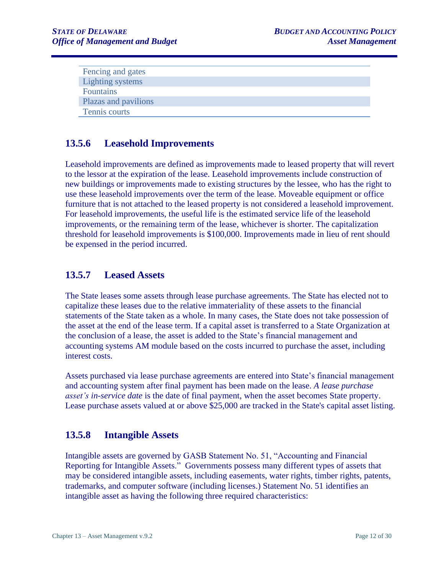| Fencing and gates    |
|----------------------|
| Lighting systems     |
| Fountains            |
| Plazas and pavilions |
| Tennis courts        |

#### <span id="page-11-0"></span>**13.5.6 Leasehold Improvements**

Leasehold improvements are defined as improvements made to leased property that will revert to the lessor at the expiration of the lease. Leasehold improvements include construction of new buildings or improvements made to existing structures by the lessee, who has the right to use these leasehold improvements over the term of the lease. Moveable equipment or office furniture that is not attached to the leased property is not considered a leasehold improvement. For leasehold improvements, the useful life is the estimated service life of the leasehold improvements, or the remaining term of the lease, whichever is shorter. The capitalization threshold for leasehold improvements is \$100,000. Improvements made in lieu of rent should be expensed in the period incurred.

#### <span id="page-11-1"></span>**13.5.7 Leased Assets**

The State leases some assets through lease purchase agreements. The State has elected not to capitalize these leases due to the relative immateriality of these assets to the financial statements of the State taken as a whole. In many cases, the State does not take possession of the asset at the end of the lease term. If a capital asset is transferred to a State Organization at the conclusion of a lease, the asset is added to the State's financial management and accounting systems AM module based on the costs incurred to purchase the asset, including interest costs.

Assets purchased via lease purchase agreements are entered into State's financial management and accounting system after final payment has been made on the lease. *A lease purchase asset's in-service date* is the date of final payment, when the asset becomes State property. Lease purchase assets valued at or above \$25,000 are tracked in the State's capital asset listing.

#### <span id="page-11-2"></span>**13.5.8 Intangible Assets**

Intangible assets are governed by GASB Statement No. 51, "Accounting and Financial Reporting for Intangible Assets." Governments possess many different types of assets that may be considered intangible assets, including easements, water rights, timber rights, patents, trademarks, and computer software (including licenses.) Statement No. 51 identifies an intangible asset as having the following three required characteristics: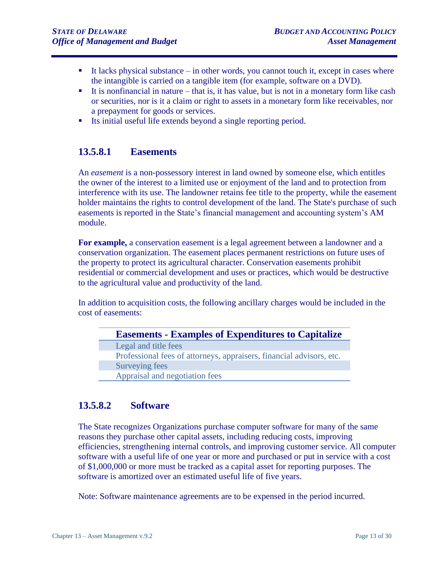- $\blacksquare$  It lacks physical substance in other words, you cannot touch it, except in cases where the intangible is carried on a tangible item (for example, software on a DVD).
- $\blacksquare$  It is nonfinancial in nature that is, it has value, but is not in a monetary form like cash or securities, nor is it a claim or right to assets in a monetary form like receivables, nor a prepayment for goods or services.
- Its initial useful life extends beyond a single reporting period.

#### <span id="page-12-0"></span>**13.5.8.1 Easements**

An *easement* is a non-possessory interest in land owned by someone else, which entitles the owner of the interest to a limited use or enjoyment of the land and to protection from interference with its use. The landowner retains fee title to the property, while the easement holder maintains the rights to control development of the land. The State's purchase of such easements is reported in the State's financial management and accounting system's AM module.

**For example,** a conservation easement is a legal agreement between a landowner and a conservation organization. The easement places permanent restrictions on future uses of the property to protect its agricultural character. Conservation easements prohibit residential or commercial development and uses or practices, which would be destructive to the agricultural value and productivity of the land.

In addition to acquisition costs, the following ancillary charges would be included in the cost of easements:

| <b>Easements - Examples of Expenditures to Capitalize</b>            |  |
|----------------------------------------------------------------------|--|
| Legal and title fees                                                 |  |
| Professional fees of attorneys, appraisers, financial advisors, etc. |  |
| Surveying fees                                                       |  |
| Appraisal and negotiation fees                                       |  |

### <span id="page-12-1"></span>**13.5.8.2 Software**

The State recognizes Organizations purchase computer software for many of the same reasons they purchase other capital assets, including reducing costs, improving efficiencies, strengthening internal controls, and improving customer service. All computer software with a useful life of one year or more and purchased or put in service with a cost of \$1,000,000 or more must be tracked as a capital asset for reporting purposes. The software is amortized over an estimated useful life of five years.

Note: Software maintenance agreements are to be expensed in the period incurred.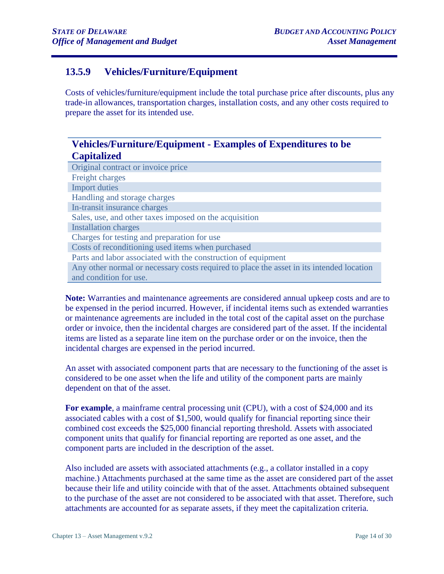## <span id="page-13-0"></span>**13.5.9 Vehicles/Furniture/Equipment**

Costs of vehicles/furniture/equipment include the total purchase price after discounts, plus any trade-in allowances, transportation charges, installation costs, and any other costs required to prepare the asset for its intended use.

## **Vehicles/Furniture/Equipment - Examples of Expenditures to be Capitalized**

| Original contract or invoice price                                                       |
|------------------------------------------------------------------------------------------|
| Freight charges                                                                          |
| <b>Import duties</b>                                                                     |
| Handling and storage charges                                                             |
| In-transit insurance charges                                                             |
| Sales, use, and other taxes imposed on the acquisition                                   |
| <b>Installation charges</b>                                                              |
| Charges for testing and preparation for use                                              |
| Costs of reconditioning used items when purchased                                        |
| Parts and labor associated with the construction of equipment                            |
| Any other normal or necessary costs required to place the asset in its intended location |
| and condition for use.                                                                   |

**Note:** Warranties and maintenance agreements are considered annual upkeep costs and are to be expensed in the period incurred. However, if incidental items such as extended warranties or maintenance agreements are included in the total cost of the capital asset on the purchase order or invoice, then the incidental charges are considered part of the asset. If the incidental items are listed as a separate line item on the purchase order or on the invoice, then the incidental charges are expensed in the period incurred.

An asset with associated component parts that are necessary to the functioning of the asset is considered to be one asset when the life and utility of the component parts are mainly dependent on that of the asset.

**For example**, a mainframe central processing unit (CPU), with a cost of \$24,000 and its associated cables with a cost of \$1,500, would qualify for financial reporting since their combined cost exceeds the \$25,000 financial reporting threshold. Assets with associated component units that qualify for financial reporting are reported as one asset, and the component parts are included in the description of the asset.

Also included are assets with associated attachments (e.g., a collator installed in a copy machine.) Attachments purchased at the same time as the asset are considered part of the asset because their life and utility coincide with that of the asset. Attachments obtained subsequent to the purchase of the asset are not considered to be associated with that asset. Therefore, such attachments are accounted for as separate assets, if they meet the capitalization criteria.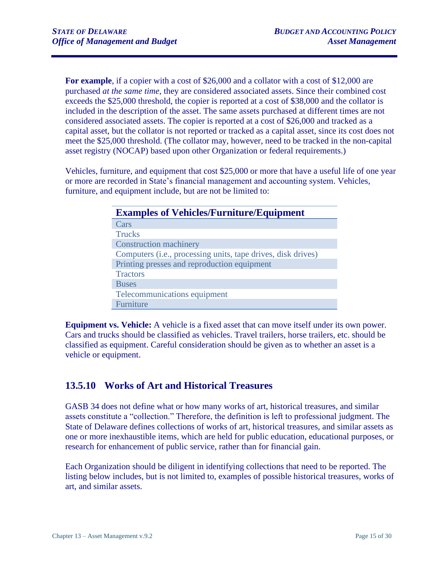For example, if a copier with a cost of \$26,000 and a collator with a cost of \$12,000 are purchased *at the same time*, they are considered associated assets. Since their combined cost exceeds the \$25,000 threshold, the copier is reported at a cost of \$38,000 and the collator is included in the description of the asset. The same assets purchased at different times are not considered associated assets. The copier is reported at a cost of \$26,000 and tracked as a capital asset, but the collator is not reported or tracked as a capital asset, since its cost does not meet the \$25,000 threshold. (The collator may, however, need to be tracked in the non-capital asset registry (NOCAP) based upon other Organization or federal requirements.)

Vehicles, furniture, and equipment that cost \$25,000 or more that have a useful life of one year or more are recorded in State's financial management and accounting system. Vehicles, furniture, and equipment include, but are not be limited to:

| <b>Examples of Vehicles/Furniture/Equipment</b>                       |  |
|-----------------------------------------------------------------------|--|
| Cars                                                                  |  |
| <b>Trucks</b>                                                         |  |
| <b>Construction machinery</b>                                         |  |
| Computers ( <i>i.e.</i> , processing units, tape drives, disk drives) |  |
| Printing presses and reproduction equipment                           |  |
| <b>Tractors</b>                                                       |  |
| <b>Buses</b>                                                          |  |
| Telecommunications equipment                                          |  |
| Furniture                                                             |  |

**Equipment vs. Vehicle:** A vehicle is a fixed asset that can move itself under its own power. Cars and trucks should be classified as vehicles. Travel trailers, horse trailers, etc. should be classified as equipment. Careful consideration should be given as to whether an asset is a vehicle or equipment.

## <span id="page-14-0"></span>**13.5.10 Works of Art and Historical Treasures**

GASB 34 does not define what or how many works of art, historical treasures, and similar assets constitute a "collection." Therefore, the definition is left to professional judgment. The State of Delaware defines collections of works of art, historical treasures, and similar assets as one or more inexhaustible items, which are held for public education, educational purposes, or research for enhancement of public service, rather than for financial gain.

Each Organization should be diligent in identifying collections that need to be reported. The listing below includes, but is not limited to, examples of possible historical treasures, works of art, and similar assets.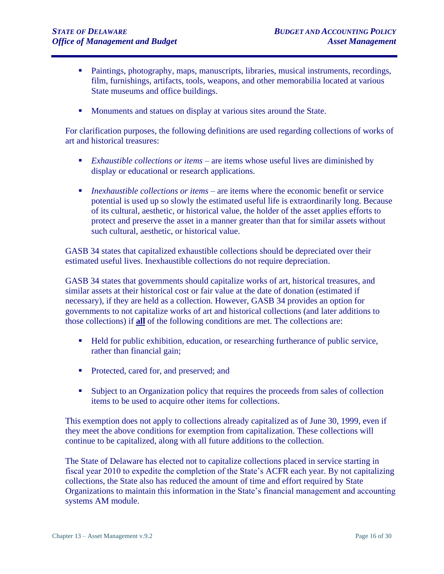- Paintings, photography, maps, manuscripts, libraries, musical instruments, recordings, film, furnishings, artifacts, tools, weapons, and other memorabilia located at various State museums and office buildings.
- Monuments and statues on display at various sites around the State.

For clarification purposes, the following definitions are used regarding collections of works of art and historical treasures:

- *Exhaustible collections or items* are items whose useful lives are diminished by display or educational or research applications.
- *Inexhaustible collections or items* are items where the economic benefit or service potential is used up so slowly the estimated useful life is extraordinarily long. Because of its cultural, aesthetic, or historical value, the holder of the asset applies efforts to protect and preserve the asset in a manner greater than that for similar assets without such cultural, aesthetic, or historical value.

GASB 34 states that capitalized exhaustible collections should be depreciated over their estimated useful lives. Inexhaustible collections do not require depreciation.

GASB 34 states that governments should capitalize works of art, historical treasures, and similar assets at their historical cost or fair value at the date of donation (estimated if necessary), if they are held as a collection. However, GASB 34 provides an option for governments to not capitalize works of art and historical collections (and later additions to those collections) if **all** of the following conditions are met. The collections are:

- Held for public exhibition, education, or researching furtherance of public service, rather than financial gain;
- Protected, cared for, and preserved; and
- **Example 1** Subject to an Organization policy that requires the proceeds from sales of collection items to be used to acquire other items for collections.

This exemption does not apply to collections already capitalized as of June 30, 1999, even if they meet the above conditions for exemption from capitalization. These collections will continue to be capitalized, along with all future additions to the collection.

The State of Delaware has elected not to capitalize collections placed in service starting in fiscal year 2010 to expedite the completion of the State's ACFR each year. By not capitalizing collections, the State also has reduced the amount of time and effort required by State Organizations to maintain this information in the State's financial management and accounting systems AM module.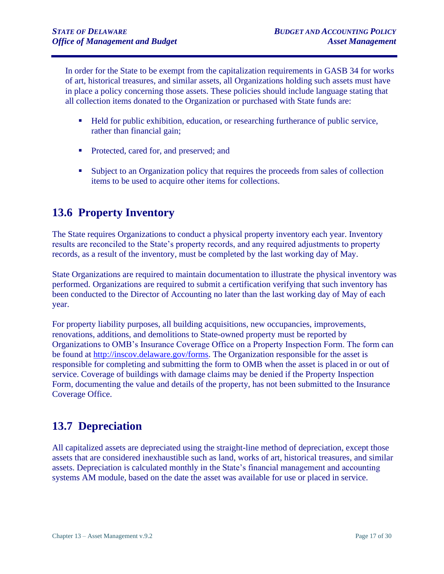In order for the State to be exempt from the capitalization requirements in GASB 34 for works of art, historical treasures, and similar assets, all Organizations holding such assets must have in place a policy concerning those assets. These policies should include language stating that all collection items donated to the Organization or purchased with State funds are:

- Held for public exhibition, education, or researching furtherance of public service, rather than financial gain;
- Protected, cared for, and preserved; and
- Subject to an Organization policy that requires the proceeds from sales of collection items to be used to acquire other items for collections.

## <span id="page-16-0"></span>**13.6 Property Inventory**

The State requires Organizations to conduct a physical property inventory each year. Inventory results are reconciled to the State's property records, and any required adjustments to property records, as a result of the inventory, must be completed by the last working day of May.

State Organizations are required to maintain documentation to illustrate the physical inventory was performed. Organizations are required to submit a certification verifying that such inventory has been conducted to the Director of Accounting no later than the last working day of May of each year.

For property liability purposes, all building acquisitions, new occupancies, improvements, renovations, additions, and demolitions to State-owned property must be reported by Organizations to OMB's Insurance Coverage Office on a Property Inspection Form. The form can be found at [http://inscov.delaware.gov/forms.](http://inscov.delaware.gov/forms) The Organization responsible for the asset is responsible for completing and submitting the form to OMB when the asset is placed in or out of service. Coverage of buildings with damage claims may be denied if the Property Inspection Form, documenting the value and details of the property, has not been submitted to the Insurance Coverage Office.

## <span id="page-16-1"></span>**13.7 Depreciation**

All capitalized assets are depreciated using the straight-line method of depreciation, except those assets that are considered inexhaustible such as land, works of art, historical treasures, and similar assets. Depreciation is calculated monthly in the State's financial management and accounting systems AM module, based on the date the asset was available for use or placed in service.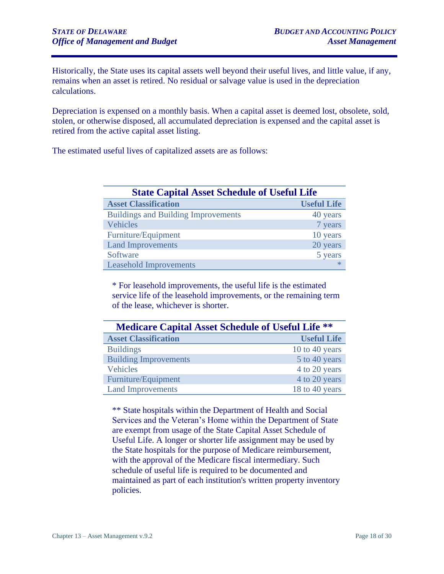Historically, the State uses its capital assets well beyond their useful lives, and little value, if any, remains when an asset is retired. No residual or salvage value is used in the depreciation calculations.

Depreciation is expensed on a monthly basis. When a capital asset is deemed lost, obsolete, sold, stolen, or otherwise disposed, all accumulated depreciation is expensed and the capital asset is retired from the active capital asset listing.

The estimated useful lives of capitalized assets are as follows:

| <b>State Capital Asset Schedule of Useful Life</b> |                    |  |
|----------------------------------------------------|--------------------|--|
| <b>Asset Classification</b>                        | <b>Useful Life</b> |  |
| <b>Buildings and Building Improvements</b>         | 40 years           |  |
| <b>Vehicles</b>                                    | 7 years            |  |
| Furniture/Equipment                                | 10 years           |  |
| <b>Land Improvements</b>                           | 20 years           |  |
| Software                                           | 5 years            |  |
| <b>Leasehold Improvements</b>                      | $\ast$             |  |

\* For leasehold improvements, the useful life is the estimated service life of the leasehold improvements, or the remaining term of the lease, whichever is shorter.

| <b>Medicare Capital Asset Schedule of Useful Life **</b> |                    |  |
|----------------------------------------------------------|--------------------|--|
| <b>Asset Classification</b>                              | <b>Useful Life</b> |  |
| <b>Buildings</b>                                         | 10 to 40 years     |  |
| <b>Building Improvements</b>                             | 5 to 40 years      |  |
| <b>Vehicles</b>                                          | 4 to 20 years      |  |
| Furniture/Equipment                                      | 4 to 20 years      |  |
| <b>Land Improvements</b>                                 | 18 to 40 years     |  |

\*\* State hospitals within the Department of Health and Social Services and the Veteran's Home within the Department of State are exempt from usage of the State Capital Asset Schedule of Useful Life. A longer or shorter life assignment may be used by the State hospitals for the purpose of Medicare reimbursement, with the approval of the Medicare fiscal intermediary. Such schedule of useful life is required to be documented and maintained as part of each institution's written property inventory policies.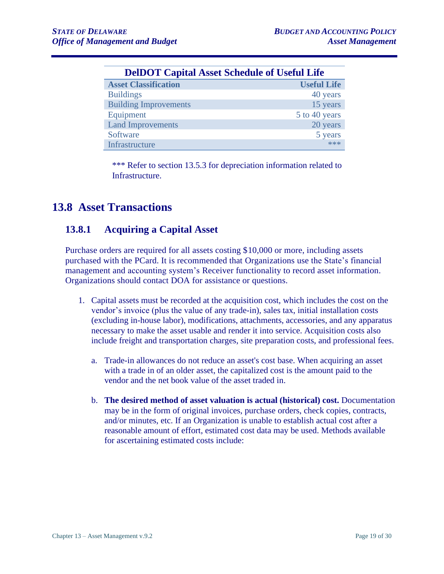| <b>DelDOT Capital Asset Schedule of Useful Life</b> |                    |
|-----------------------------------------------------|--------------------|
| <b>Asset Classification</b>                         | <b>Useful Life</b> |
| <b>Buildings</b>                                    | 40 years           |
| <b>Building Improvements</b>                        | 15 years           |
| Equipment                                           | 5 to 40 years      |
| <b>Land Improvements</b>                            | 20 years           |
| Software                                            | 5 years            |
| Infrastructure                                      | $***$              |

\*\*\* Refer to section 13.5.3 for depreciation information related to Infrastructure.

## <span id="page-18-0"></span>**13.8 Asset Transactions**

## <span id="page-18-1"></span>**13.8.1 Acquiring a Capital Asset**

Purchase orders are required for all assets costing \$10,000 or more, including assets purchased with the PCard. It is recommended that Organizations use the State's financial management and accounting system's Receiver functionality to record asset information. Organizations should contact DOA for assistance or questions.

- 1. Capital assets must be recorded at the acquisition cost, which includes the cost on the vendor's invoice (plus the value of any trade-in), sales tax, initial installation costs (excluding in-house labor), modifications, attachments, accessories, and any apparatus necessary to make the asset usable and render it into service. Acquisition costs also include freight and transportation charges, site preparation costs, and professional fees.
	- a. Trade-in allowances do not reduce an asset's cost base. When acquiring an asset with a trade in of an older asset, the capitalized cost is the amount paid to the vendor and the net book value of the asset traded in.
	- b. **The desired method of asset valuation is actual (historical) cost.** Documentation may be in the form of original invoices, purchase orders, check copies, contracts, and/or minutes, etc. If an Organization is unable to establish actual cost after a reasonable amount of effort, estimated cost data may be used. Methods available for ascertaining estimated costs include: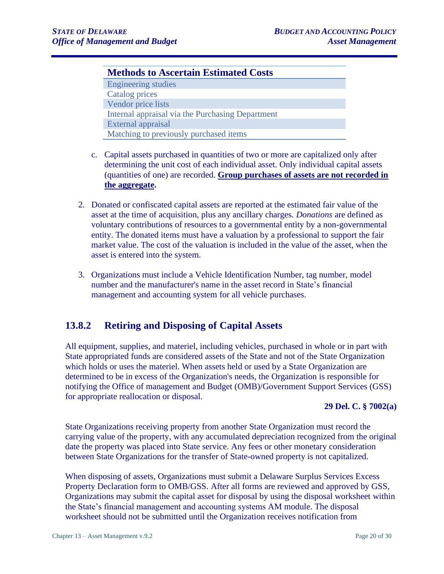#### **Methods to Ascertain Estimated Costs**

Engineering studies Catalog prices Vendor price lists Internal appraisal via the Purchasing Department External appraisal Matching to previously purchased items

- c. Capital assets purchased in quantities of two or more are capitalized only after determining the unit cost of each individual asset. Only individual capital assets (quantities of one) are recorded. **Group purchases of assets are not recorded in the aggregate.**
- 2. Donated or confiscated capital assets are reported at the estimated fair value of the asset at the time of acquisition, plus any ancillary charges. *Donations* are defined as voluntary contributions of resources to a governmental entity by a non-governmental entity. The donated items must have a valuation by a professional to support the fair market value. The cost of the valuation is included in the value of the asset, when the asset is entered into the system.
- 3. Organizations must include a Vehicle Identification Number, tag number, model number and the manufacturer's name in the asset record in State's financial management and accounting system for all vehicle purchases.

### <span id="page-19-0"></span>**13.8.2 Retiring and Disposing of Capital Assets**

All equipment, supplies, and materiel, including vehicles, purchased in whole or in part with State appropriated funds are considered assets of the State and not of the State Organization which holds or uses the materiel. When assets held or used by a State Organization are determined to be in excess of the Organization's needs, the Organization is responsible for notifying the Office of management and Budget (OMB)/Government Support Services (GSS) for appropriate reallocation or disposal.

#### **29 Del. C. § 7002(a)**

State Organizations receiving property from another State Organization must record the carrying value of the property, with any accumulated depreciation recognized from the original date the property was placed into State service. Any fees or other monetary consideration between State Organizations for the transfer of State-owned property is not capitalized.

When disposing of assets, Organizations must submit a Delaware Surplus Services Excess Property Declaration form to OMB/GSS. After all forms are reviewed and approved by GSS, Organizations may submit the capital asset for disposal by using the disposal worksheet within the State's financial management and accounting systems AM module. The disposal worksheet should not be submitted until the Organization receives notification from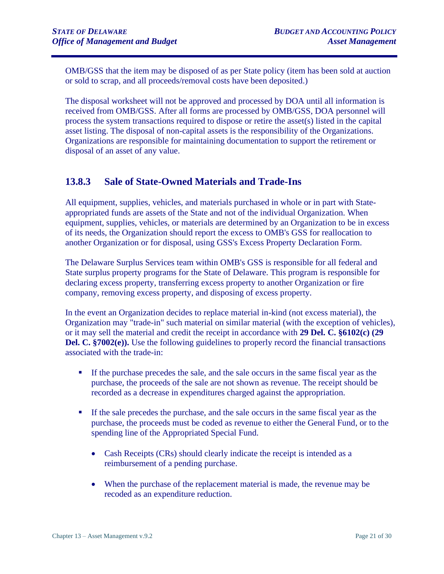OMB/GSS that the item may be disposed of as per State policy (item has been sold at auction or sold to scrap, and all proceeds/removal costs have been deposited.)

The disposal worksheet will not be approved and processed by DOA until all information is received from OMB/GSS. After all forms are processed by OMB/GSS, DOA personnel will process the system transactions required to dispose or retire the asset(s) listed in the capital asset listing. The disposal of non-capital assets is the responsibility of the Organizations. Organizations are responsible for maintaining documentation to support the retirement or disposal of an asset of any value.

#### <span id="page-20-0"></span>**13.8.3 Sale of State-Owned Materials and Trade-Ins**

All equipment, supplies, vehicles, and materials purchased in whole or in part with Stateappropriated funds are assets of the State and not of the individual Organization. When equipment, supplies, vehicles, or materials are determined by an Organization to be in excess of its needs, the Organization should report the excess to OMB's GSS for reallocation to another Organization or for disposal, using GSS's Excess Property Declaration Form.

The Delaware Surplus Services team within OMB's GSS is responsible for all federal and State surplus property programs for the State of Delaware. This program is responsible for declaring excess property, transferring excess property to another Organization or fire company, removing excess property, and disposing of excess property.

In the event an Organization decides to replace material in-kind (not excess material), the Organization may "trade-in" such material on similar material (with the exception of vehicles), or it may sell the material and credit the receipt in accordance with **29 Del. C. §6102(c) (29 Del. C. §7002(e)).** Use the following guidelines to properly record the financial transactions associated with the trade-in:

- If the purchase precedes the sale, and the sale occurs in the same fiscal year as the purchase, the proceeds of the sale are not shown as revenue. The receipt should be recorded as a decrease in expenditures charged against the appropriation.
- If the sale precedes the purchase, and the sale occurs in the same fiscal year as the purchase, the proceeds must be coded as revenue to either the General Fund, or to the spending line of the Appropriated Special Fund.
	- Cash Receipts (CRs) should clearly indicate the receipt is intended as a reimbursement of a pending purchase.
	- When the purchase of the replacement material is made, the revenue may be recoded as an expenditure reduction.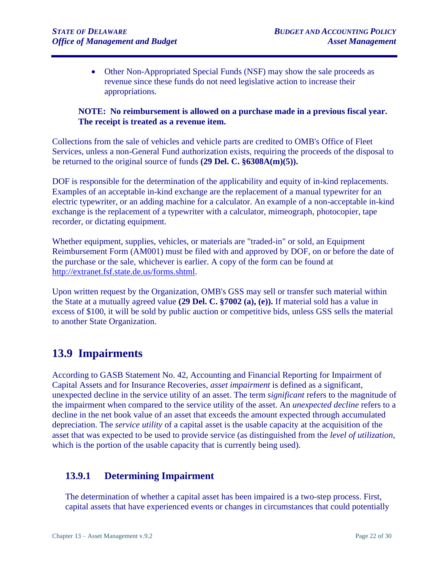• Other Non-Appropriated Special Funds (NSF) may show the sale proceeds as revenue since these funds do not need legislative action to increase their appropriations.

#### **NOTE: No reimbursement is allowed on a purchase made in a previous fiscal year. The receipt is treated as a revenue item.**

Collections from the sale of vehicles and vehicle parts are credited to OMB's Office of Fleet Services, unless a non-General Fund authorization exists, requiring the proceeds of the disposal to be returned to the original source of funds **(29 Del. C. §6308A(m)(5)).**

DOF is responsible for the determination of the applicability and equity of in-kind replacements. Examples of an acceptable in-kind exchange are the replacement of a manual typewriter for an electric typewriter, or an adding machine for a calculator. An example of a non-acceptable in-kind exchange is the replacement of a typewriter with a calculator, mimeograph, photocopier, tape recorder, or dictating equipment.

Whether equipment, supplies, vehicles, or materials are "traded-in" or sold, an Equipment Reimbursement Form (AM001) must be filed with and approved by DOF, on or before the date of the purchase or the sale, whichever is earlier. A copy of the form can be found at [http://extranet.fsf.state.de.us/forms.shtml.](http://extranet.fsf.state.de.us/forms.shtml)

Upon written request by the Organization, OMB's GSS may sell or transfer such material within the State at a mutually agreed value **(29 Del. C. §7002 (a), (e)).** If material sold has a value in excess of \$100, it will be sold by public auction or competitive bids, unless GSS sells the material to another State Organization.

## <span id="page-21-0"></span>**13.9 Impairments**

According to GASB Statement No. 42, Accounting and Financial Reporting for Impairment of Capital Assets and for Insurance Recoveries, *asset impairment* is defined as a significant, unexpected decline in the service utility of an asset. The term *significant* refers to the magnitude of the impairment when compared to the service utility of the asset. An *unexpected decline* refers to a decline in the net book value of an asset that exceeds the amount expected through accumulated depreciation. The *service utility* of a capital asset is the usable capacity at the acquisition of the asset that was expected to be used to provide service (as distinguished from the *level of utilization*, which is the portion of the usable capacity that is currently being used).

### <span id="page-21-1"></span>**13.9.1 Determining Impairment**

The determination of whether a capital asset has been impaired is a two-step process. First, capital assets that have experienced events or changes in circumstances that could potentially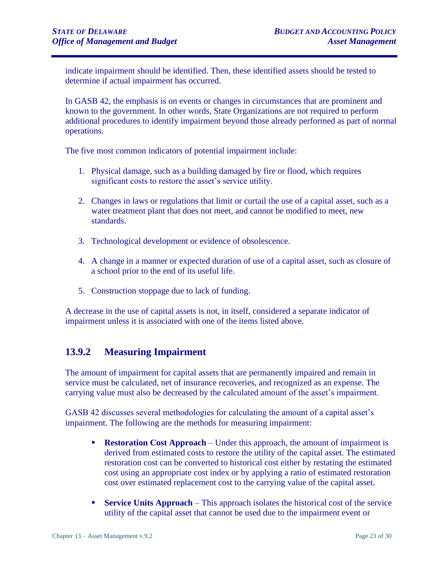indicate impairment should be identified. Then, these identified assets should be tested to determine if actual impairment has occurred.

In GASB 42, the emphasis is on events or changes in circumstances that are prominent and known to the government. In other words, State Organizations are not required to perform additional procedures to identify impairment beyond those already performed as part of normal operations.

The five most common indicators of potential impairment include:

- 1. Physical damage, such as a building damaged by fire or flood, which requires significant costs to restore the asset's service utility.
- 2. Changes in laws or regulations that limit or curtail the use of a capital asset, such as a water treatment plant that does not meet, and cannot be modified to meet, new standards.
- 3. Technological development or evidence of obsolescence.
- 4. A change in a manner or expected duration of use of a capital asset, such as closure of a school prior to the end of its useful life.
- 5. Construction stoppage due to lack of funding.

A decrease in the use of capital assets is not, in itself, considered a separate indicator of impairment unless it is associated with one of the items listed above.

## <span id="page-22-0"></span>**13.9.2 Measuring Impairment**

The amount of impairment for capital assets that are permanently impaired and remain in service must be calculated, net of insurance recoveries, and recognized as an expense. The carrying value must also be decreased by the calculated amount of the asset's impairment.

GASB 42 discusses several methodologies for calculating the amount of a capital asset's impairment. The following are the methods for measuring impairment:

- **Restoration Cost Approach** Under this approach, the amount of impairment is derived from estimated costs to restore the utility of the capital asset. The estimated restoration cost can be converted to historical cost either by restating the estimated cost using an appropriate cost index or by applying a ratio of estimated restoration cost over estimated replacement cost to the carrying value of the capital asset.
- **Exervice Units Approach** This approach isolates the historical cost of the service utility of the capital asset that cannot be used due to the impairment event or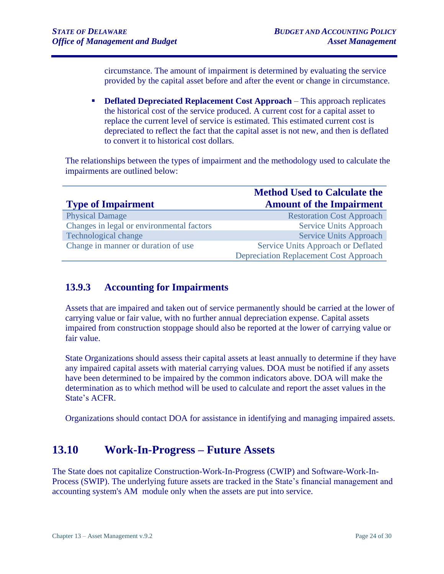circumstance. The amount of impairment is determined by evaluating the service provided by the capital asset before and after the event or change in circumstance.

**• Deflated Depreciated Replacement Cost Approach** – This approach replicates the historical cost of the service produced. A current cost for a capital asset to replace the current level of service is estimated. This estimated current cost is depreciated to reflect the fact that the capital asset is not new, and then is deflated to convert it to historical cost dollars.

The relationships between the types of impairment and the methodology used to calculate the impairments are outlined below:

|                                           | <b>Method Used to Calculate the</b>           |
|-------------------------------------------|-----------------------------------------------|
| <b>Type of Impairment</b>                 | <b>Amount of the Impairment</b>               |
| <b>Physical Damage</b>                    | <b>Restoration Cost Approach</b>              |
| Changes in legal or environmental factors | <b>Service Units Approach</b>                 |
| <b>Technological change</b>               | <b>Service Units Approach</b>                 |
| Change in manner or duration of use       | Service Units Approach or Deflated            |
|                                           | <b>Depreciation Replacement Cost Approach</b> |

### <span id="page-23-0"></span>**13.9.3 Accounting for Impairments**

Assets that are impaired and taken out of service permanently should be carried at the lower of carrying value or fair value, with no further annual depreciation expense. Capital assets impaired from construction stoppage should also be reported at the lower of carrying value or fair value.

State Organizations should assess their capital assets at least annually to determine if they have any impaired capital assets with material carrying values. DOA must be notified if any assets have been determined to be impaired by the common indicators above. DOA will make the determination as to which method will be used to calculate and report the asset values in the State's ACFR.

Organizations should contact DOA for assistance in identifying and managing impaired assets.

## <span id="page-23-1"></span>**13.10 Work-In-Progress – Future Assets**

The State does not capitalize Construction-Work-In-Progress (CWIP) and Software-Work-In-Process (SWIP). The underlying future assets are tracked in the State's financial management and accounting system's AM module only when the assets are put into service.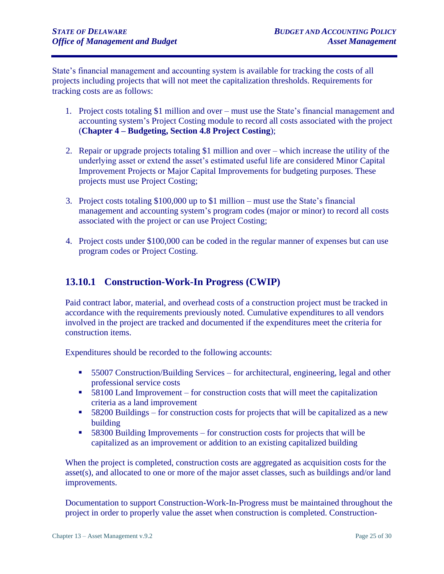State's financial management and accounting system is available for tracking the costs of all projects including projects that will not meet the capitalization thresholds. Requirements for tracking costs are as follows:

- 1. Project costs totaling \$1 million and over must use the State's financial management and accounting system's Project Costing module to record all costs associated with the project (**Chapter 4 – Budgeting, Section 4.8 Project Costing**);
- 2. Repair or upgrade projects totaling \$1 million and over which increase the utility of the underlying asset or extend the asset's estimated useful life are considered Minor Capital Improvement Projects or Major Capital Improvements for budgeting purposes. These projects must use Project Costing;
- 3. Project costs totaling \$100,000 up to \$1 million must use the State's financial management and accounting system's program codes (major or minor) to record all costs associated with the project or can use Project Costing;
- 4. Project costs under \$100,000 can be coded in the regular manner of expenses but can use program codes or Project Costing.

## <span id="page-24-0"></span>**13.10.1 Construction-Work-In Progress (CWIP)**

Paid contract labor, material, and overhead costs of a construction project must be tracked in accordance with the requirements previously noted. Cumulative expenditures to all vendors involved in the project are tracked and documented if the expenditures meet the criteria for construction items.

Expenditures should be recorded to the following accounts:

- 55007 Construction/Building Services for architectural, engineering, legal and other professional service costs
- 58100 Land Improvement for construction costs that will meet the capitalization criteria as a land improvement
- 58200 Buildings for construction costs for projects that will be capitalized as a new building
- 58300 Building Improvements for construction costs for projects that will be capitalized as an improvement or addition to an existing capitalized building

When the project is completed, construction costs are aggregated as acquisition costs for the asset(s), and allocated to one or more of the major asset classes, such as buildings and/or land improvements.

Documentation to support Construction-Work-In-Progress must be maintained throughout the project in order to properly value the asset when construction is completed. Construction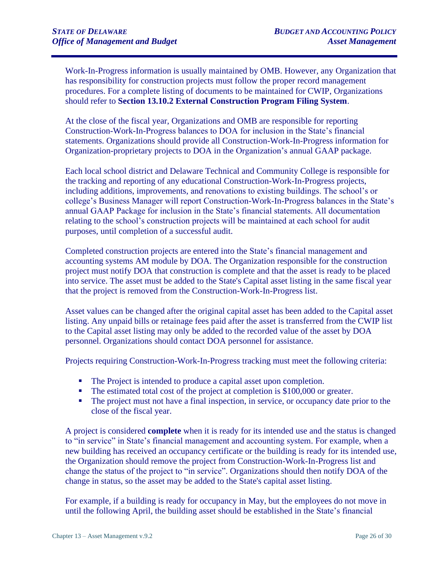Work-In-Progress information is usually maintained by OMB. However, any Organization that has responsibility for construction projects must follow the proper record management procedures. For a complete listing of documents to be maintained for CWIP, Organizations should refer to **Section 13.10.2 External Construction Program Filing System**.

At the close of the fiscal year, Organizations and OMB are responsible for reporting Construction-Work-In-Progress balances to DOA for inclusion in the State's financial statements. Organizations should provide all Construction-Work-In-Progress information for Organization-proprietary projects to DOA in the Organization's annual GAAP package.

Each local school district and Delaware Technical and Community College is responsible for the tracking and reporting of any educational Construction-Work-In-Progress projects, including additions, improvements, and renovations to existing buildings. The school's or college's Business Manager will report Construction-Work-In-Progress balances in the State's annual GAAP Package for inclusion in the State's financial statements. All documentation relating to the school's construction projects will be maintained at each school for audit purposes, until completion of a successful audit.

Completed construction projects are entered into the State's financial management and accounting systems AM module by DOA. The Organization responsible for the construction project must notify DOA that construction is complete and that the asset is ready to be placed into service. The asset must be added to the State's Capital asset listing in the same fiscal year that the project is removed from the Construction-Work-In-Progress list.

Asset values can be changed after the original capital asset has been added to the Capital asset listing. Any unpaid bills or retainage fees paid after the asset is transferred from the CWIP list to the Capital asset listing may only be added to the recorded value of the asset by DOA personnel. Organizations should contact DOA personnel for assistance.

Projects requiring Construction-Work-In-Progress tracking must meet the following criteria:

- The Project is intended to produce a capital asset upon completion.
- The estimated total cost of the project at completion is \$100,000 or greater.
- The project must not have a final inspection, in service, or occupancy date prior to the close of the fiscal year.

A project is considered **complete** when it is ready for its intended use and the status is changed to "in service" in State's financial management and accounting system. For example, when a new building has received an occupancy certificate or the building is ready for its intended use, the Organization should remove the project from Construction-Work-In-Progress list and change the status of the project to "in service". Organizations should then notify DOA of the change in status, so the asset may be added to the State's capital asset listing.

For example, if a building is ready for occupancy in May, but the employees do not move in until the following April, the building asset should be established in the State's financial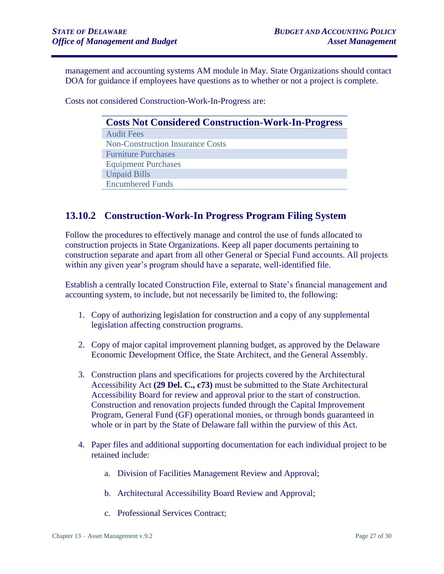management and accounting systems AM module in May. State Organizations should contact DOA for guidance if employees have questions as to whether or not a project is complete.

Costs not considered Construction-Work-In-Progress are:

| <b>Costs Not Considered Construction-Work-In-Progress</b> |  |
|-----------------------------------------------------------|--|
| <b>Audit Fees</b>                                         |  |
| <b>Non-Construction Insurance Costs</b>                   |  |
| <b>Furniture Purchases</b>                                |  |
| <b>Equipment Purchases</b>                                |  |
| <b>Unpaid Bills</b>                                       |  |
| <b>Encumbered Funds</b>                                   |  |
|                                                           |  |

#### <span id="page-26-0"></span>**13.10.2 Construction-Work-In Progress Program Filing System**

Follow the procedures to effectively manage and control the use of funds allocated to construction projects in State Organizations. Keep all paper documents pertaining to construction separate and apart from all other General or Special Fund accounts. All projects within any given year's program should have a separate, well-identified file.

Establish a centrally located Construction File, external to State's financial management and accounting system, to include, but not necessarily be limited to, the following:

- 1. Copy of authorizing legislation for construction and a copy of any supplemental legislation affecting construction programs.
- 2. Copy of major capital improvement planning budget, as approved by the Delaware Economic Development Office, the State Architect, and the General Assembly.
- 3. Construction plans and specifications for projects covered by the Architectural Accessibility Act **(29 Del. C., c73)** must be submitted to the State Architectural Accessibility Board for review and approval prior to the start of construction. Construction and renovation projects funded through the Capital Improvement Program, General Fund (GF) operational monies, or through bonds guaranteed in whole or in part by the State of Delaware fall within the purview of this Act.
- 4. Paper files and additional supporting documentation for each individual project to be retained include:
	- a. Division of Facilities Management Review and Approval;
	- b. Architectural Accessibility Board Review and Approval;
	- c. Professional Services Contract;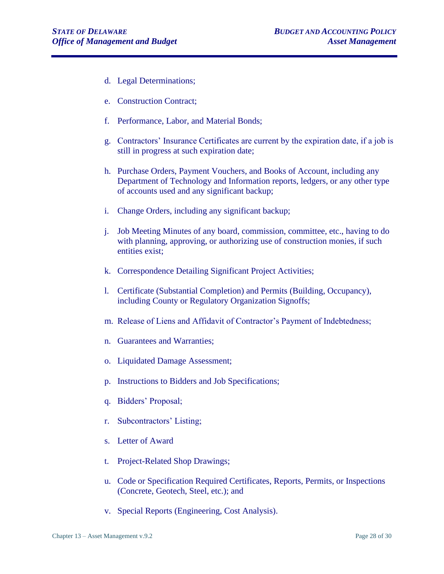- d. Legal Determinations;
- e. Construction Contract;
- f. Performance, Labor, and Material Bonds;
- g. Contractors' Insurance Certificates are current by the expiration date, if a job is still in progress at such expiration date;
- h. Purchase Orders, Payment Vouchers, and Books of Account, including any Department of Technology and Information reports, ledgers, or any other type of accounts used and any significant backup;
- i. Change Orders, including any significant backup;
- j. Job Meeting Minutes of any board, commission, committee, etc., having to do with planning, approving, or authorizing use of construction monies, if such entities exist;
- k. Correspondence Detailing Significant Project Activities;
- l. Certificate (Substantial Completion) and Permits (Building, Occupancy), including County or Regulatory Organization Signoffs;
- m. Release of Liens and Affidavit of Contractor's Payment of Indebtedness;
- n. Guarantees and Warranties;
- o. Liquidated Damage Assessment;
- p. Instructions to Bidders and Job Specifications;
- q. Bidders' Proposal;
- r. Subcontractors' Listing;
- s. Letter of Award
- t. Project-Related Shop Drawings;
- u. Code or Specification Required Certificates, Reports, Permits, or Inspections (Concrete, Geotech, Steel, etc.); and
- v. Special Reports (Engineering, Cost Analysis).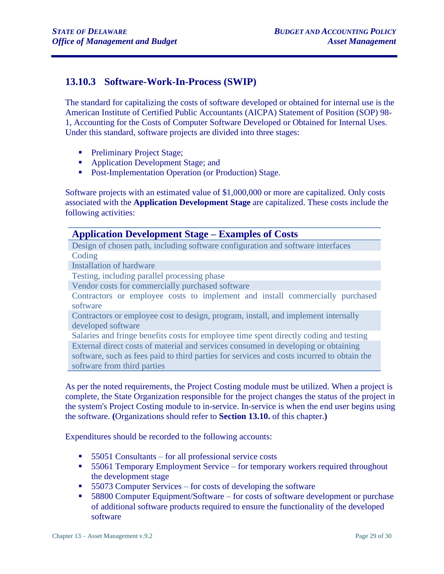### <span id="page-28-0"></span>**13.10.3 Software-Work-In-Process (SWIP)**

The standard for capitalizing the costs of software developed or obtained for internal use is the American Institute of Certified Public Accountants (AICPA) Statement of Position (SOP) 98- 1, Accounting for the Costs of Computer Software Developed or Obtained for Internal Uses. Under this standard, software projects are divided into three stages:

- **•** Preliminary Project Stage;
- Application Development Stage; and
- Post-Implementation Operation (or Production) Stage.

Software projects with an estimated value of \$1,000,000 or more are capitalized. Only costs associated with the **Application Development Stage** are capitalized. These costs include the following activities:

#### **Application Development Stage – Examples of Costs**

Design of chosen path, including software configuration and software interfaces **Coding** 

Installation of hardware

Testing, including parallel processing phase

Vendor costs for commercially purchased software

Contractors or employee costs to implement and install commercially purchased software

Contractors or employee cost to design, program, install, and implement internally developed software

Salaries and fringe benefits costs for employee time spent directly coding and testing External direct costs of material and services consumed in developing or obtaining software, such as fees paid to third parties for services and costs incurred to obtain the software from third parties

As per the noted requirements, the Project Costing module must be utilized. When a project is complete, the State Organization responsible for the project changes the status of the project in the system's Project Costing module to in-service. In-service is when the end user begins using the software. **(**Organizations should refer to **Section 13.10.** of this chapter.**)** 

Expenditures should be recorded to the following accounts:

- 55051 Consultants for all professional service costs
- 55061 Temporary Employment Service for temporary workers required throughout the development stage
- 55073 Computer Services for costs of developing the software
- 58800 Computer Equipment/Software for costs of software development or purchase of additional software products required to ensure the functionality of the developed software